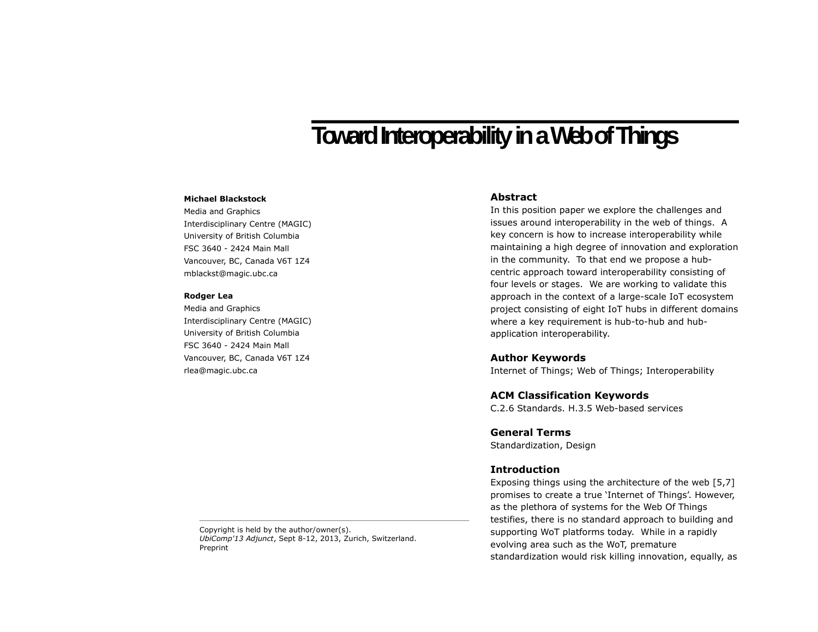# **Toward Interoperability in a Web of Things**

#### **Michael Blackstock**

Media and Graphics Interdisciplinary Centre (MAGIC) University of British Columbia FSC 3640 - 2424 Main Mall Vancouver, BC, Canada V6T 1Z4 mblackst@magic.ubc.ca

#### **Rodger Lea**

Media and Graphics Interdisciplinary Centre (MAGIC) University of British Columbia FSC 3640 - 2424 Main Mall Vancouver, BC, Canada V6T 1Z4 rlea@magic.ubc.ca

## **Abstract**

In this position paper we explore the challenges and issues around interoperability in the web of things. A key concern is how to increase interoperability while maintaining a high degree of innovation and exploration in the community. To that end we propose a hubcentric approach toward interoperability consisting of four levels or stages. We are working to validate this approach in the context of a large-scale IoT ecosystem project consisting of eight IoT hubs in different domains where a key requirement is hub-to-hub and hubapplication interoperability.

### **Author Keywords**

Internet of Things; Web of Things; Interoperability

## **ACM Classification Keywords**

C.2.6 Standards. H.3.5 Web-based services

## **General Terms**

Standardization, Design

## **Introduction**

Exposing things using the architecture of the web [5,7] promises to create a true 'Internet of Things'. However, as the plethora of systems for the Web Of Things testifies, there is no standard approach to building and supporting WoT platforms today. While in a rapidly evolving area such as the WoT, premature standardization would risk killing innovation, equally, as

Copyright is held by the author/owner(s). *UbiComp'13 Adjunct*, Sept 8-12, 2013, Zurich, Switzerland. Preprint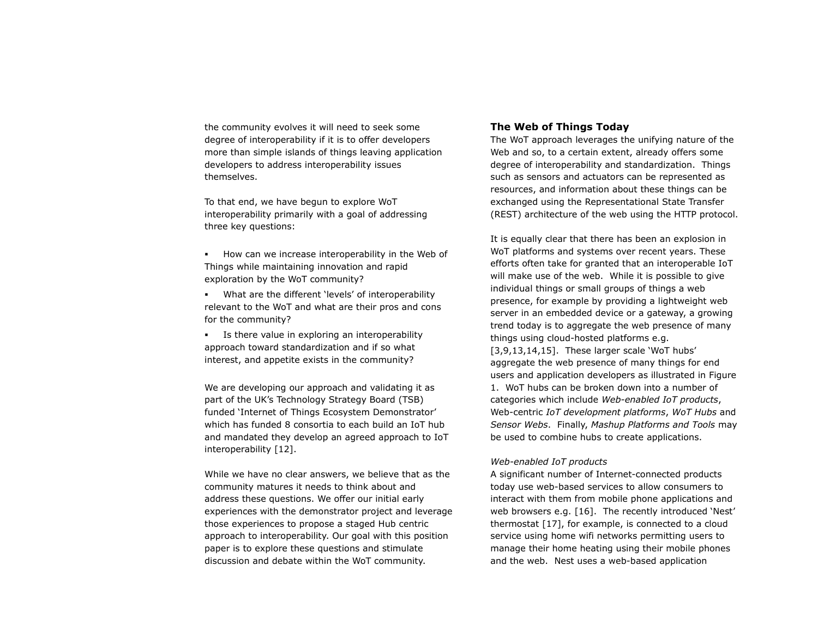the community evolves it will need to seek some degree of interoperability if it is to offer developers more than simple islands of things leaving application developers to address interoperability issues themselves.

To that end, we have begun to explore WoT interoperability primarily with a goal of addressing three key questions:

 How can we increase interoperability in the Web of Things while maintaining innovation and rapid exploration by the WoT community?

 What are the different 'levels' of interoperability relevant to the WoT and what are their pros and cons for the community?

 Is there value in exploring an interoperability approach toward standardization and if so what interest, and appetite exists in the community?

We are developing our approach and validating it as part of the UK's Technology Strategy Board (TSB) funded 'Internet of Things Ecosystem Demonstrator' which has funded 8 consortia to each build an IoT hub and mandated they develop an agreed approach to IoT interoperability [12].

While we have no clear answers, we believe that as the community matures it needs to think about and address these questions. We offer our initial early experiences with the demonstrator project and leverage those experiences to propose a staged Hub centric approach to interoperability. Our goal with this position paper is to explore these questions and stimulate discussion and debate within the WoT community.

## **The Web of Things Today**

The WoT approach leverages the unifying nature of the Web and so, to a certain extent, already offers some degree of interoperability and standardization. Things such as sensors and actuators can be represented as resources, and information about these things can be exchanged using the Representational State Transfer (REST) architecture of the web using the HTTP protocol.

It is equally clear that there has been an explosion in WoT platforms and systems over recent years. These efforts often take for granted that an interoperable IoT will make use of the web. While it is possible to give individual things or small groups of things a web presence, for example by providing a lightweight web server in an embedded device or a gateway, a growing trend today is to aggregate the web presence of many things using cloud-hosted platforms e.g. [3,9,13,14,15]. These larger scale 'WoT hubs' aggregate the web presence of many things for end users and application developers as illustrated in Figure 1. WoT hubs can be broken down into a number of categories which include *Web-enabled IoT products*, Web-centric *IoT development platforms*, *WoT Hubs* and *Sensor Webs*. Finally, *Mashup Platforms and Tools* may be used to combine hubs to create applications.

#### *Web-enabled IoT products*

A significant number of Internet-connected products today use web-based services to allow consumers to interact with them from mobile phone applications and web browsers e.g. [16]. The recently introduced 'Nest' thermostat [17], for example, is connected to a cloud service using home wifi networks permitting users to manage their home heating using their mobile phones and the web. Nest uses a web-based application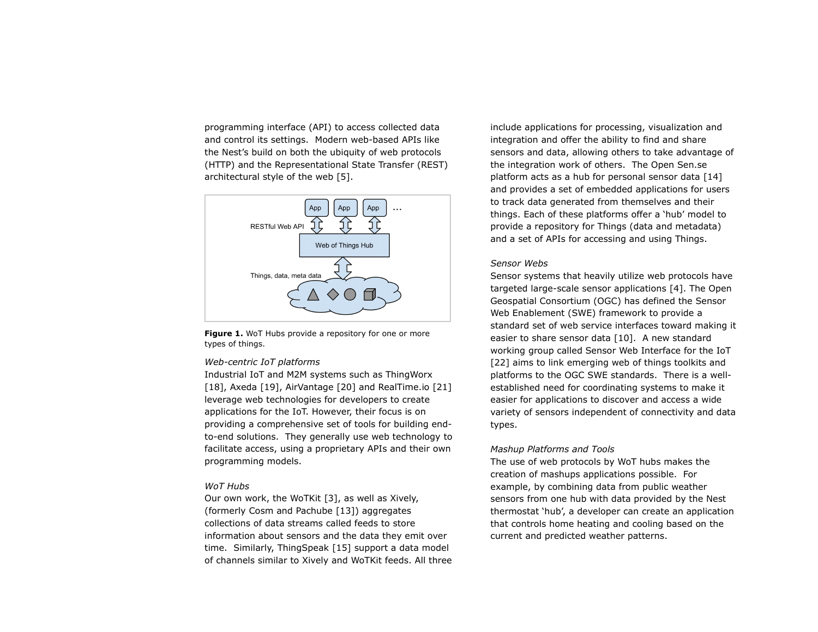programming interface (API) to access collected data and control its settings. Modern web-based APIs like the Nest's build on both the ubiquity of web protocols (HTTP) and the Representational State Transfer (REST) architectural style of the web [5].



Figure 1. WoT Hubs provide a repository for one or more types of things.

#### *Web-centric IoT platforms*

Industrial IoT and M2M systems such as ThingWorx [18], Axeda [19], AirVantage [20] and RealTime.io [21] leverage web technologies for developers to create applications for the IoT. However, their focus is on providing a comprehensive set of tools for building endto-end solutions. They generally use web technology to facilitate access, using a proprietary APIs and their own programming models.

#### *WoT Hubs*

Our own work, the WoTKit [3], as well as Xively, (formerly Cosm and Pachube [13]) aggregates collections of data streams called feeds to store information about sensors and the data they emit over time. Similarly, ThingSpeak [15] support a data model of channels similar to Xively and WoTKit feeds. All three include applications for processing, visualization and integration and offer the ability to find and share sensors and data, allowing others to take advantage of the integration work of others. The Open Sen.se platform acts as a hub for personal sensor data [14] and provides a set of embedded applications for users to track data generated from themselves and their things. Each of these platforms offer a 'hub' model to provide a repository for Things (data and metadata) and a set of APIs for accessing and using Things.

#### *Sensor Webs*

Sensor systems that heavily utilize web protocols have targeted large-scale sensor applications [4]. The Open Geospatial Consortium (OGC) has defined the Sensor Web Enablement (SWE) framework to provide a standard set of web service interfaces toward making it easier to share sensor data [10]. A new standard working group called Sensor Web Interface for the IoT [22] aims to link emerging web of things toolkits and platforms to the OGC SWE standards. There is a wellestablished need for coordinating systems to make it easier for applications to discover and access a wide variety of sensors independent of connectivity and data types.

## *Mashup Platforms and Tools*

The use of web protocols by WoT hubs makes the creation of mashups applications possible. For example, by combining data from public weather sensors from one hub with data provided by the Nest thermostat 'hub', a developer can create an application that controls home heating and cooling based on the current and predicted weather patterns.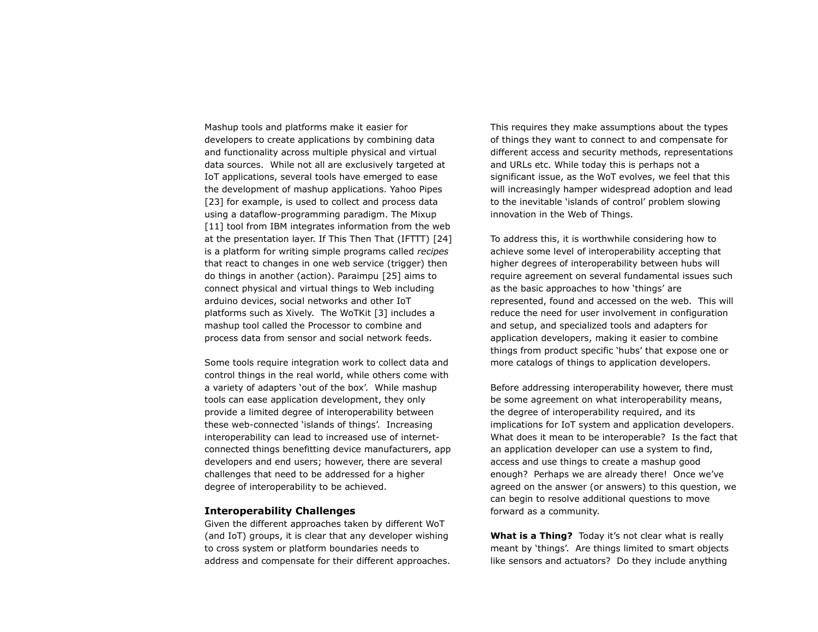Mashup tools and platforms make it easier for developers to create applications by combining data and functionality across multiple physical and virtual data sources. While not all are exclusively targeted at IoT applications, several tools have emerged to ease the development of mashup applications. Yahoo Pipes [23] for example, is used to collect and process data using a dataflow-programming paradigm. The Mixup [11] tool from IBM integrates information from the web at the presentation layer. If This Then That (IFTTT) [24] is a platform for writing simple programs called *recipes* that react to changes in one web service (trigger) then do things in another (action). Paraimpu [25] aims to connect physical and virtual things to Web including arduino devices, social networks and other IoT platforms such as Xively. The WoTKit [3] includes a mashup tool called the Processor to combine and process data from sensor and social network feeds.

Some tools require integration work to collect data and control things in the real world, while others come with a variety of adapters 'out of the box'. While mashup tools can ease application development, they only provide a limited degree of interoperability between these web-connected 'islands of things'. Increasing interoperability can lead to increased use of internetconnected things benefitting device manufacturers, app developers and end users; however, there are several challenges that need to be addressed for a higher degree of interoperability to be achieved.

## **Interoperability Challenges**

Given the different approaches taken by different WoT (and IoT) groups, it is clear that any developer wishing to cross system or platform boundaries needs to address and compensate for their different approaches. This requires they make assumptions about the types of things they want to connect to and compensate for different access and security methods, representations and URLs etc. While today this is perhaps not a significant issue, as the WoT evolves, we feel that this will increasingly hamper widespread adoption and lead to the inevitable 'islands of control' problem slowing innovation in the Web of Things.

To address this, it is worthwhile considering how to achieve some level of interoperability accepting that higher degrees of interoperability between hubs will require agreement on several fundamental issues such as the basic approaches to how 'things' are represented, found and accessed on the web. This will reduce the need for user involvement in configuration and setup, and specialized tools and adapters for application developers, making it easier to combine things from product specific 'hubs' that expose one or more catalogs of things to application developers.

Before addressing interoperability however, there must be some agreement on what interoperability means, the degree of interoperability required, and its implications for IoT system and application developers. What does it mean to be interoperable? Is the fact that an application developer can use a system to find, access and use things to create a mashup good enough? Perhaps we are already there! Once we've agreed on the answer (or answers) to this question, we can begin to resolve additional questions to move forward as a community.

**What is a Thing?** Today it's not clear what is really meant by 'things'. Are things limited to smart objects like sensors and actuators? Do they include anything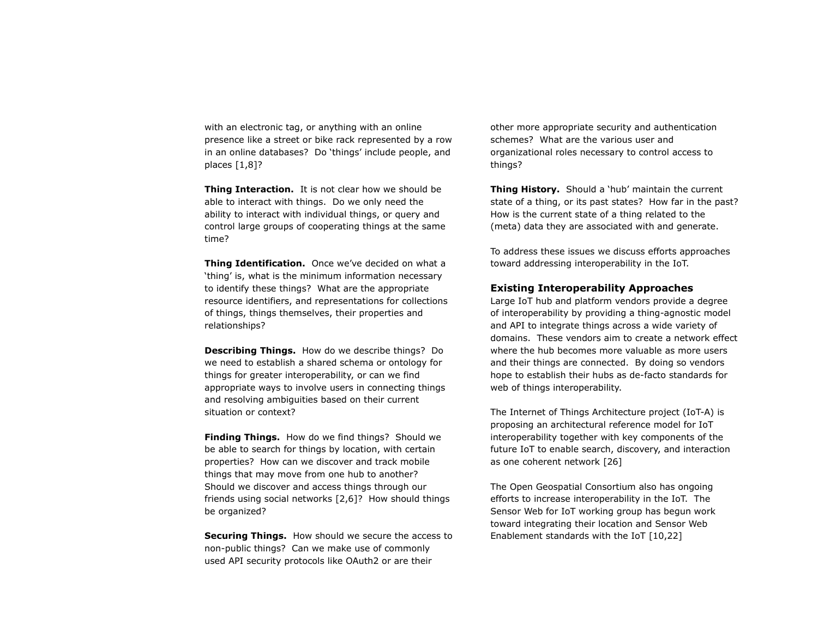with an electronic tag, or anything with an online presence like a street or bike rack represented by a row in an online databases? Do 'things' include people, and places [1,8]?

**Thing Interaction.** It is not clear how we should be able to interact with things. Do we only need the ability to interact with individual things, or query and control large groups of cooperating things at the same time?

**Thing Identification.** Once we've decided on what a 'thing' is, what is the minimum information necessary to identify these things? What are the appropriate resource identifiers, and representations for collections of things, things themselves, their properties and relationships?

**Describing Things.** How do we describe things? Do we need to establish a shared schema or ontology for things for greater interoperability, or can we find appropriate ways to involve users in connecting things and resolving ambiguities based on their current situation or context?

**Finding Things.** How do we find things? Should we be able to search for things by location, with certain properties? How can we discover and track mobile things that may move from one hub to another? Should we discover and access things through our friends using social networks [2,6]? How should things be organized?

**Securing Things.** How should we secure the access to non-public things? Can we make use of commonly used API security protocols like OAuth2 or are their

other more appropriate security and authentication schemes? What are the various user and organizational roles necessary to control access to things?

**Thing History.** Should a 'hub' maintain the current state of a thing, or its past states? How far in the past? How is the current state of a thing related to the (meta) data they are associated with and generate.

To address these issues we discuss efforts approaches toward addressing interoperability in the IoT.

## **Existing Interoperability Approaches**

Large IoT hub and platform vendors provide a degree of interoperability by providing a thing-agnostic model and API to integrate things across a wide variety of domains. These vendors aim to create a network effect where the hub becomes more valuable as more users and their things are connected. By doing so vendors hope to establish their hubs as de-facto standards for web of things interoperability.

The Internet of Things Architecture project (IoT-A) is proposing an architectural reference model for IoT interoperability together with key components of the future IoT to enable search, discovery, and interaction as one coherent network [26]

The Open Geospatial Consortium also has ongoing efforts to increase interoperability in the IoT. The Sensor Web for IoT working group has begun work toward integrating their location and Sensor Web Enablement standards with the IoT [10,22]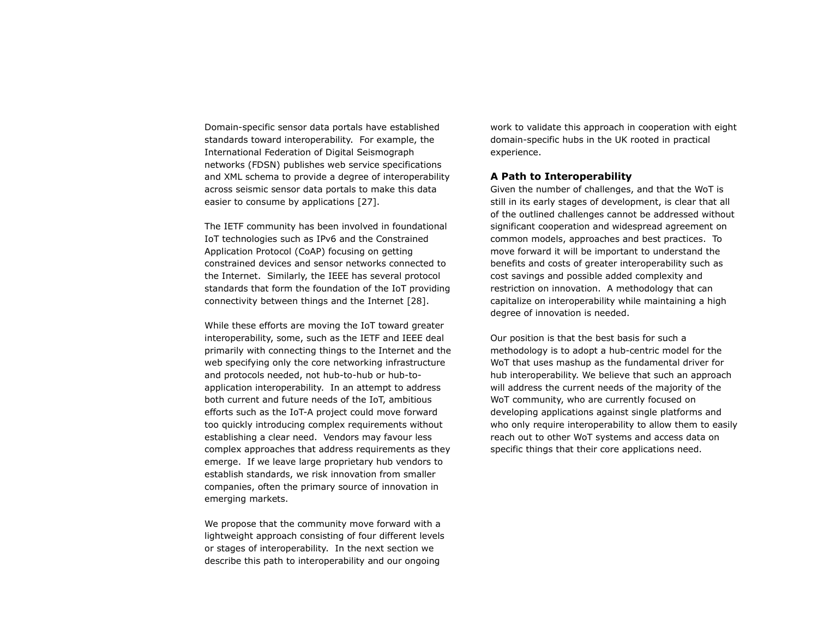Domain-specific sensor data portals have established standards toward interoperability. For example, the International Federation of Digital Seismograph networks (FDSN) publishes web service specifications and XML schema to provide a degree of interoperability across seismic sensor data portals to make this data easier to consume by applications [27].

The IETF community has been involved in foundational IoT technologies such as IPv6 and the Constrained Application Protocol (CoAP) focusing on getting constrained devices and sensor networks connected to the Internet. Similarly, the IEEE has several protocol standards that form the foundation of the IoT providing connectivity between things and the Internet [28].

While these efforts are moving the IoT toward greater interoperability, some, such as the IETF and IEEE deal primarily with connecting things to the Internet and the web specifying only the core networking infrastructure and protocols needed, not hub-to-hub or hub-toapplication interoperability. In an attempt to address both current and future needs of the IoT, ambitious efforts such as the IoT-A project could move forward too quickly introducing complex requirements without establishing a clear need. Vendors may favour less complex approaches that address requirements as they emerge. If we leave large proprietary hub vendors to establish standards, we risk innovation from smaller companies, often the primary source of innovation in emerging markets.

We propose that the community move forward with a lightweight approach consisting of four different levels or stages of interoperability. In the next section we describe this path to interoperability and our ongoing

work to validate this approach in cooperation with eight domain-specific hubs in the UK rooted in practical experience.

## **A Path to Interoperability**

Given the number of challenges, and that the WoT is still in its early stages of development, is clear that all of the outlined challenges cannot be addressed without significant cooperation and widespread agreement on common models, approaches and best practices. To move forward it will be important to understand the benefits and costs of greater interoperability such as cost savings and possible added complexity and restriction on innovation. A methodology that can capitalize on interoperability while maintaining a high degree of innovation is needed.

Our position is that the best basis for such a methodology is to adopt a hub-centric model for the WoT that uses mashup as the fundamental driver for hub interoperability. We believe that such an approach will address the current needs of the majority of the WoT community, who are currently focused on developing applications against single platforms and who only require interoperability to allow them to easily reach out to other WoT systems and access data on specific things that their core applications need.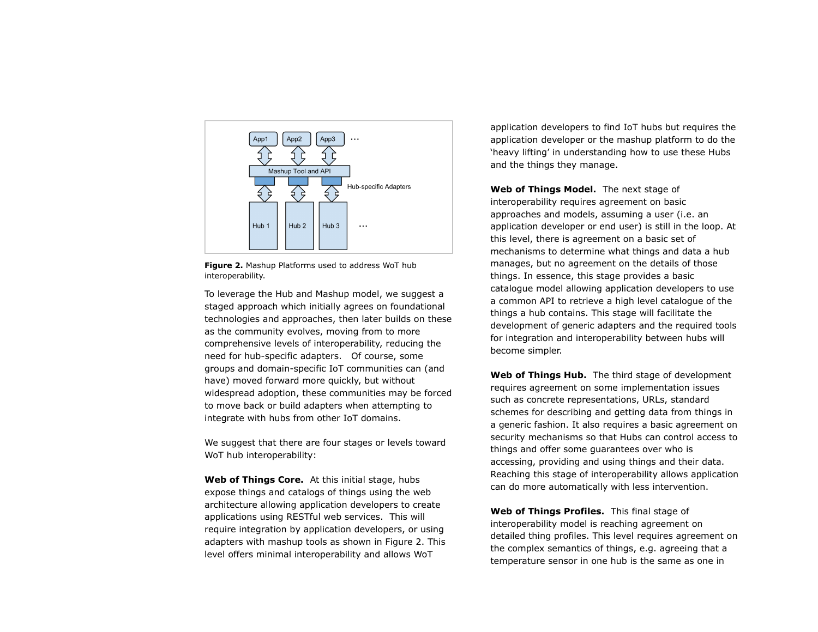

**Figure 2.** Mashup Platforms used to address WoT hub interoperability.

To leverage the Hub and Mashup model, we suggest a staged approach which initially agrees on foundational technologies and approaches, then later builds on these as the community evolves, moving from to more comprehensive levels of interoperability, reducing the need for hub-specific adapters. Of course, some groups and domain-specific IoT communities can (and have) moved forward more quickly, but without widespread adoption, these communities may be forced to move back or build adapters when attempting to integrate with hubs from other IoT domains.

We suggest that there are four stages or levels toward WoT hub interoperability:

**Web of Things Core.** At this initial stage, hubs expose things and catalogs of things using the web architecture allowing application developers to create applications using RESTful web services. This will require integration by application developers, or using adapters with mashup tools as shown in Figure 2. This level offers minimal interoperability and allows WoT

application developers to find IoT hubs but requires the application developer or the mashup platform to do the 'heavy lifting' in understanding how to use these Hubs and the things they manage.

**Web of Things Model.** The next stage of interoperability requires agreement on basic approaches and models, assuming a user (i.e. an application developer or end user) is still in the loop. At this level, there is agreement on a basic set of mechanisms to determine what things and data a hub manages, but no agreement on the details of those things. In essence, this stage provides a basic catalogue model allowing application developers to use a common API to retrieve a high level catalogue of the things a hub contains. This stage will facilitate the development of generic adapters and the required tools for integration and interoperability between hubs will become simpler.

**Web of Things Hub.** The third stage of development requires agreement on some implementation issues such as concrete representations, URLs, standard schemes for describing and getting data from things in a generic fashion. It also requires a basic agreement on security mechanisms so that Hubs can control access to things and offer some guarantees over who is accessing, providing and using things and their data. Reaching this stage of interoperability allows application can do more automatically with less intervention.

**Web of Things Profiles.** This final stage of interoperability model is reaching agreement on detailed thing profiles. This level requires agreement on the complex semantics of things, e.g. agreeing that a temperature sensor in one hub is the same as one in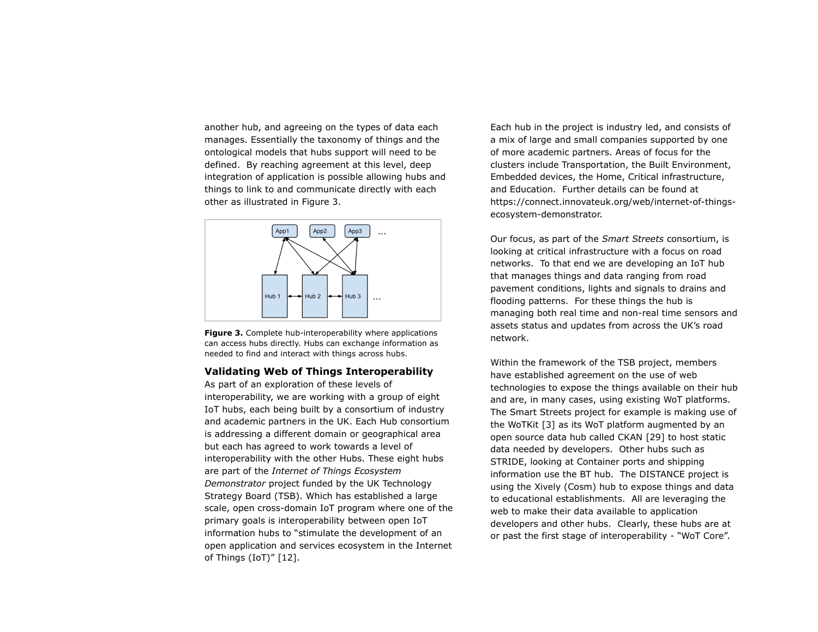another hub, and agreeing on the types of data each manages. Essentially the taxonomy of things and the ontological models that hubs support will need to be defined. By reaching agreement at this level, deep integration of application is possible allowing hubs and things to link to and communicate directly with each other as illustrated in Figure 3.



**Figure 3.** Complete hub-interoperability where applications can access hubs directly. Hubs can exchange information as needed to find and interact with things across hubs.

## **Validating Web of Things Interoperability**

As part of an exploration of these levels of interoperability, we are working with a group of eight IoT hubs, each being built by a consortium of industry and academic partners in the UK. Each Hub consortium is addressing a different domain or geographical area but each has agreed to work towards a level of interoperability with the other Hubs. These eight hubs are part of the *Internet of Things Ecosystem Demonstrator* project funded by the UK Technology Strategy Board (TSB). Which has established a large scale, open cross-domain IoT program where one of the primary goals is interoperability between open IoT information hubs to "stimulate the development of an open application and services ecosystem in the Internet of Things (IoT)" [12].

Each hub in the project is industry led, and consists of a mix of large and small companies supported by one of more academic partners. Areas of focus for the clusters include Transportation, the Built Environment, Embedded devices, the Home, Critical infrastructure, and Education. Further details can be found at https://connect.innovateuk.org/web/internet-of-thingsecosystem-demonstrator.

Our focus, as part of the *Smart Streets* consortium, is looking at critical infrastructure with a focus on road networks. To that end we are developing an IoT hub that manages things and data ranging from road pavement conditions, lights and signals to drains and flooding patterns. For these things the hub is managing both real time and non-real time sensors and assets status and updates from across the UK's road network.

Within the framework of the TSB project, members have established agreement on the use of web technologies to expose the things available on their hub and are, in many cases, using existing WoT platforms. The Smart Streets project for example is making use of the WoTKit [3] as its WoT platform augmented by an open source data hub called CKAN [29] to host static data needed by developers. Other hubs such as STRIDE, looking at Container ports and shipping information use the BT hub. The DISTANCE project is using the Xively (Cosm) hub to expose things and data to educational establishments. All are leveraging the web to make their data available to application developers and other hubs. Clearly, these hubs are at or past the first stage of interoperability - "WoT Core".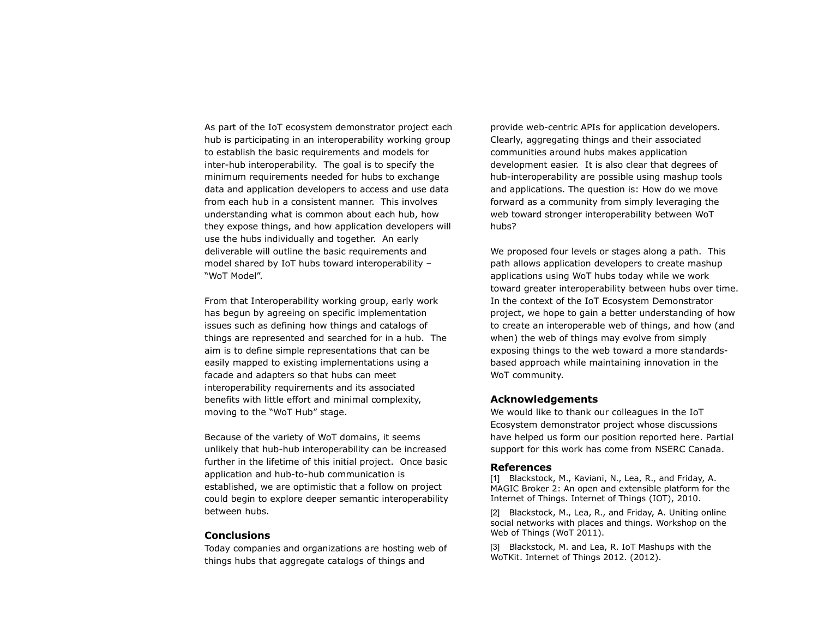As part of the IoT ecosystem demonstrator project each hub is participating in an interoperability working group to establish the basic requirements and models for inter-hub interoperability. The goal is to specify the minimum requirements needed for hubs to exchange data and application developers to access and use data from each hub in a consistent manner. This involves understanding what is common about each hub, how they expose things, and how application developers will use the hubs individually and together. An early deliverable will outline the basic requirements and model shared by IoT hubs toward interoperability – "WoT Model".

From that Interoperability working group, early work has begun by agreeing on specific implementation issues such as defining how things and catalogs of things are represented and searched for in a hub. The aim is to define simple representations that can be easily mapped to existing implementations using a facade and adapters so that hubs can meet interoperability requirements and its associated benefits with little effort and minimal complexity, moving to the "WoT Hub" stage.

Because of the variety of WoT domains, it seems unlikely that hub-hub interoperability can be increased further in the lifetime of this initial project. Once basic application and hub-to-hub communication is established, we are optimistic that a follow on project could begin to explore deeper semantic interoperability between hubs.

## **Conclusions**

Today companies and organizations are hosting web of things hubs that aggregate catalogs of things and

provide web-centric APIs for application developers. Clearly, aggregating things and their associated communities around hubs makes application development easier. It is also clear that degrees of hub-interoperability are possible using mashup tools and applications. The question is: How do we move forward as a community from simply leveraging the web toward stronger interoperability between WoT hubs?

We proposed four levels or stages along a path. This path allows application developers to create mashup applications using WoT hubs today while we work toward greater interoperability between hubs over time. In the context of the IoT Ecosystem Demonstrator project, we hope to gain a better understanding of how to create an interoperable web of things, and how (and when) the web of things may evolve from simply exposing things to the web toward a more standardsbased approach while maintaining innovation in the WoT community.

## **Acknowledgements**

We would like to thank our colleagues in the IoT Ecosystem demonstrator project whose discussions have helped us form our position reported here. Partial support for this work has come from NSERC Canada.

#### **References**

[1] Blackstock, M., Kaviani, N., Lea, R., and Friday, A. MAGIC Broker 2: An open and extensible platform for the Internet of Things. Internet of Things (IOT), 2010.

[2] Blackstock, M., Lea, R., and Friday, A. Uniting online social networks with places and things. Workshop on the Web of Things (WoT 2011).

[3] Blackstock, M. and Lea, R. IoT Mashups with the WoTKit. Internet of Things 2012. (2012).